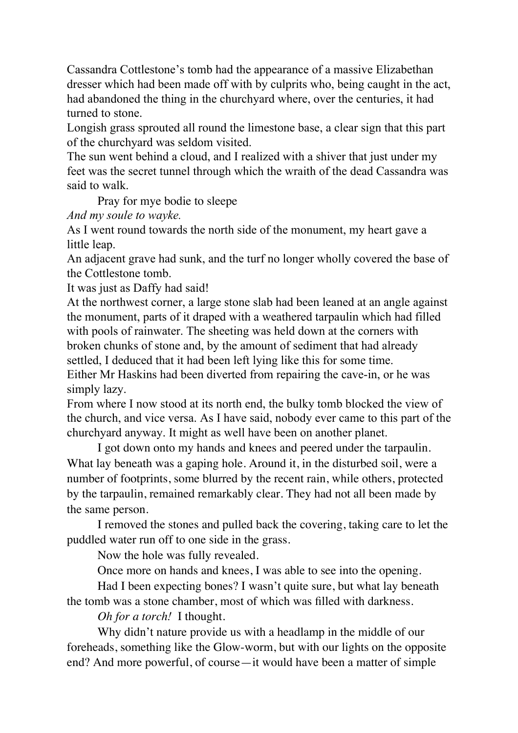Cassandra Cottlestone's tomb had the appearance of a massive Elizabethan dresser which had been made off with by culprits who, being caught in the act, had abandoned the thing in the churchyard where, over the centuries, it had turned to stone.

Longish grass sprouted all round the limestone base, a clear sign that this part of the churchyard was seldom visited.

The sun went behind a cloud, and I realized with a shiver that just under my feet was the secret tunnel through which the wraith of the dead Cassandra was said to walk.

Pray for mye bodie to sleepe

*And my soule to wayke.*

As I went round towards the north side of the monument, my heart gave a little leap.

An adjacent grave had sunk, and the turf no longer wholly covered the base of the Cottlestone tomb.

It was just as Daffy had said!

At the northwest corner, a large stone slab had been leaned at an angle against the monument, parts of it draped with a weathered tarpaulin which had filled with pools of rainwater. The sheeting was held down at the corners with broken chunks of stone and, by the amount of sediment that had already settled, I deduced that it had been left lying like this for some time. Either Mr Haskins had been diverted from repairing the cave-in, or he was simply lazy.

From where I now stood at its north end, the bulky tomb blocked the view of the church, and vice versa. As I have said, nobody ever came to this part of the churchyard anyway. It might as well have been on another planet.

I got down onto my hands and knees and peered under the tarpaulin. What lay beneath was a gaping hole. Around it, in the disturbed soil, were a number of footprints, some blurred by the recent rain, while others, protected by the tarpaulin, remained remarkably clear. They had not all been made by the same person.

I removed the stones and pulled back the covering, taking care to let the puddled water run off to one side in the grass.

Now the hole was fully revealed.

Once more on hands and knees, I was able to see into the opening.

Had I been expecting bones? I wasn't quite sure, but what lay beneath the tomb was a stone chamber, most of which was filled with darkness.

*Oh for a torch!* I thought.

Why didn't nature provide us with a headlamp in the middle of our foreheads, something like the Glow-worm, but with our lights on the opposite end? And more powerful, of course—it would have been a matter of simple